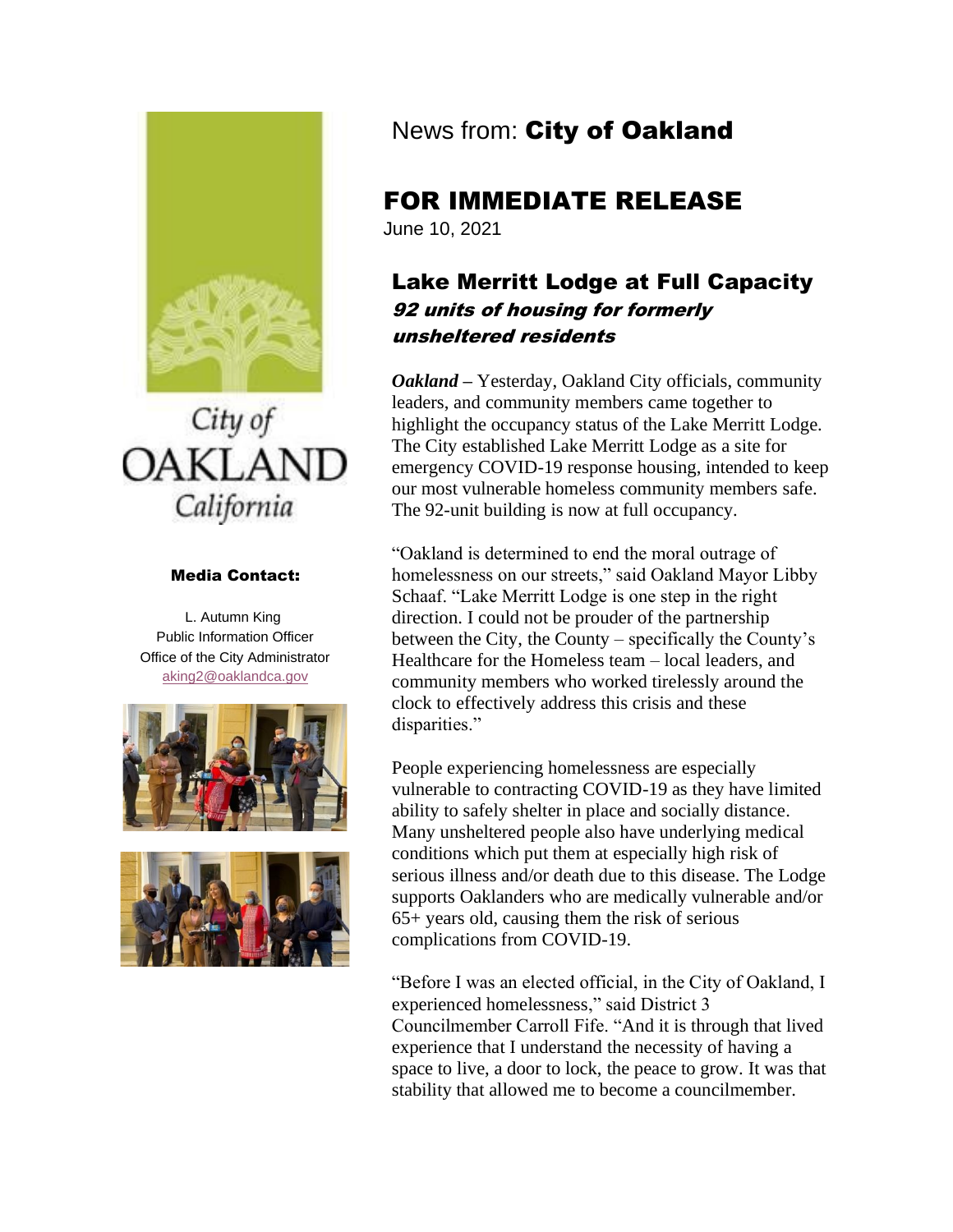

# City of **OAKLAND** California

#### Media Contact:

L. Autumn King Public Information Officer Office of the City Administrator [aking2@oaklandca.gov](mailto:aking2@oaklandca.gov)





# News from: City of Oakland

## FOR IMMEDIATE RELEASE

June 10, 2021

### Lake Merritt Lodge at Full Capacity 92 units of housing for formerly unsheltered residents

*Oakland –* Yesterday, Oakland City officials, community leaders, and community members came together to highlight the occupancy status of the Lake Merritt Lodge. The City established Lake Merritt Lodge as a site for emergency COVID-19 response housing, intended to keep our most vulnerable homeless community members safe. The 92-unit building is now at full occupancy.

"Oakland is determined to end the moral outrage of homelessness on our streets," said Oakland Mayor Libby Schaaf. "Lake Merritt Lodge is one step in the right direction. I could not be prouder of the partnership between the City, the County – specifically the County's Healthcare for the Homeless team – local leaders, and community members who worked tirelessly around the clock to effectively address this crisis and these disparities."

People experiencing homelessness are especially vulnerable to contracting COVID-19 as they have limited ability to safely shelter in place and socially distance. Many unsheltered people also have underlying medical conditions which put them at especially high risk of serious illness and/or death due to this disease. The Lodge supports Oaklanders who are medically vulnerable and/or 65+ years old, causing them the risk of serious complications from COVID-19.

"Before I was an elected official, in the City of Oakland, I experienced homelessness," said District 3 Councilmember Carroll Fife. "And it is through that lived experience that I understand the necessity of having a space to live, a door to lock, the peace to grow. It was that stability that allowed me to become a councilmember.